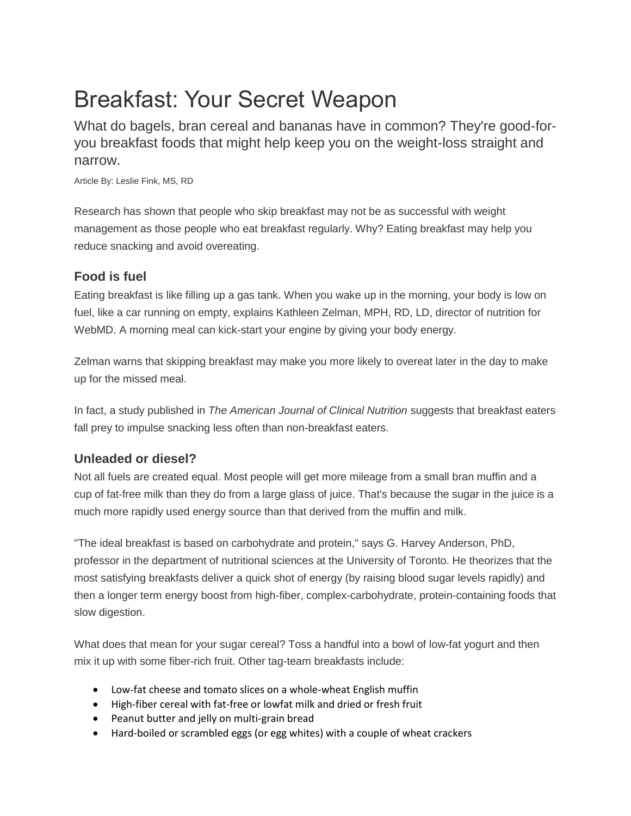# Breakfast: Your Secret Weapon

What do bagels, bran cereal and bananas have in common? They're good-foryou breakfast foods that might help keep you on the weight-loss straight and narrow.

Article By: Leslie Fink, MS, RD

Research has shown that people who skip breakfast may not be as successful with weight management as those people who eat breakfast regularly. Why? Eating breakfast may help you reduce snacking and avoid overeating.

## **Food is fuel**

Eating breakfast is like filling up a gas tank. When you wake up in the morning, your body is low on fuel, like a car running on empty, explains Kathleen Zelman, MPH, RD, LD, director of nutrition for WebMD. A morning meal can kick-start your engine by giving your body energy.

Zelman warns that skipping breakfast may make you more likely to overeat later in the day to make up for the missed meal.

In fact, a study published in *The American Journal of Clinical Nutrition* suggests that breakfast eaters fall prey to impulse snacking less often than non-breakfast eaters.

# **Unleaded or diesel?**

Not all fuels are created equal. Most people will get more mileage from a small bran muffin and a cup of fat-free milk than they do from a large glass of juice. That's because the sugar in the juice is a much more rapidly used energy source than that derived from the muffin and milk.

"The ideal breakfast is based on carbohydrate and protein," says G. Harvey Anderson, PhD, professor in the department of nutritional sciences at the University of Toronto. He theorizes that the most satisfying breakfasts deliver a quick shot of energy (by raising blood sugar levels rapidly) and then a longer term energy boost from high-fiber, complex-carbohydrate, protein-containing foods that slow digestion.

What does that mean for your sugar cereal? Toss a handful into a bowl of low-fat yogurt and then mix it up with some fiber-rich fruit. Other tag-team breakfasts include:

- Low-fat cheese and tomato slices on a whole-wheat English muffin
- High-fiber cereal with fat-free or lowfat milk and dried or fresh fruit
- Peanut butter and jelly on multi-grain bread
- Hard-boiled or scrambled eggs (or egg whites) with a couple of wheat crackers